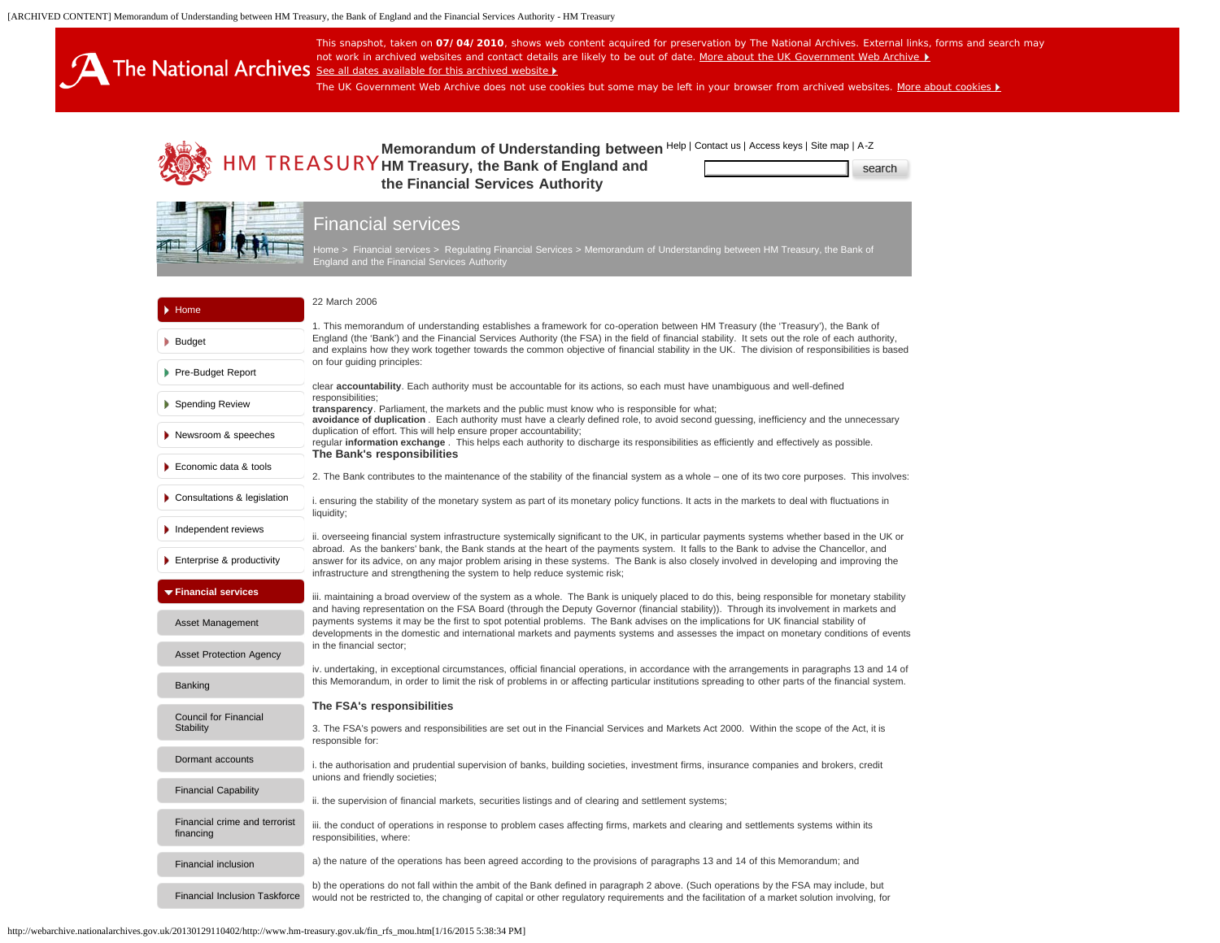<span id="page-0-0"></span>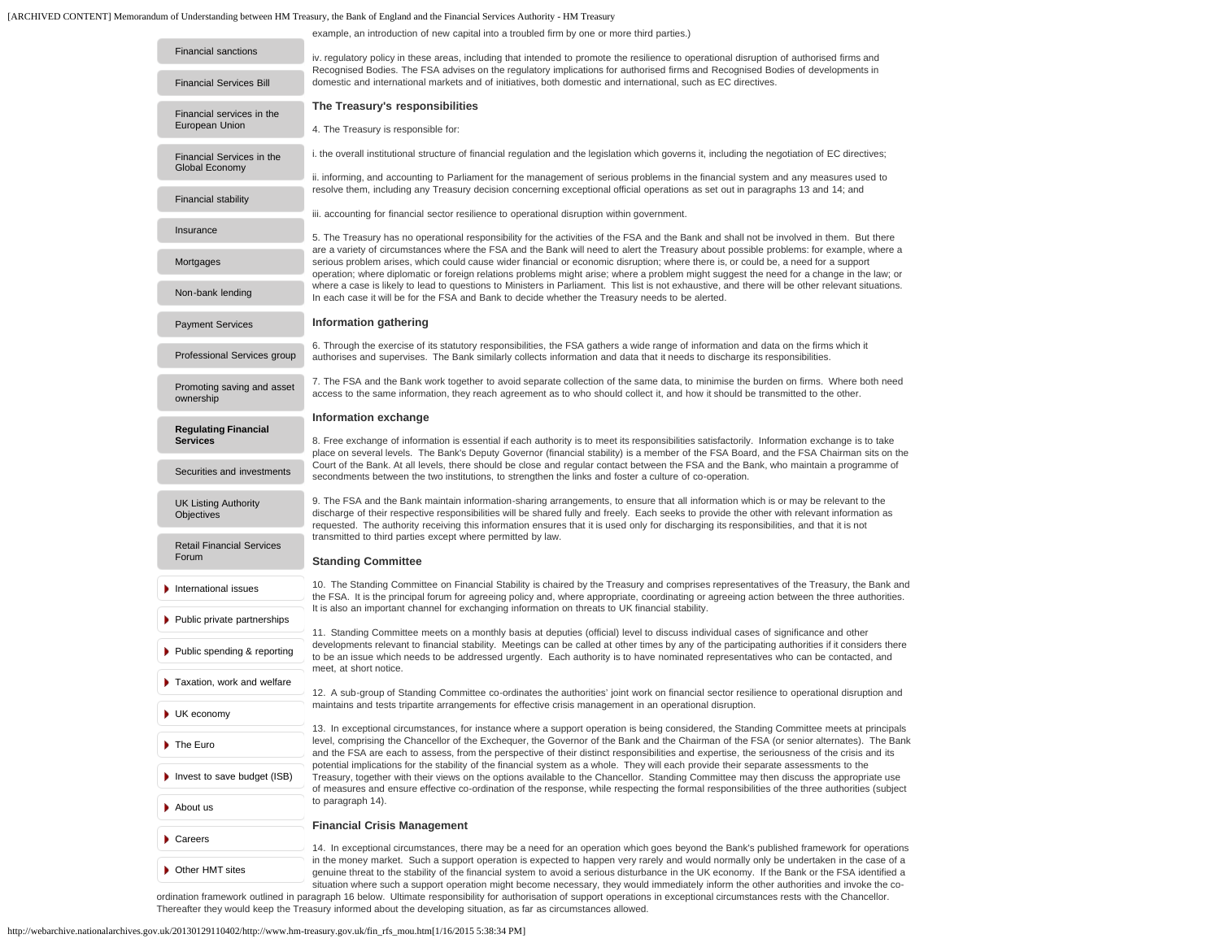# [ARCHIVED CONTENT] Memorandum of Understanding between HM Treasury, the Bank of England and the Financial Services Authority - HM Treasury

example, an introduction of new capital into a troubled firm by one or more third parties.)

| <b>Financial sanctions</b>                     | iv. regulatory policy in these areas, including that intended to promote the resilience to operational disruption of authorised firms and<br>Recognised Bodies. The FSA advises on the regulatory implications for authorised firms and Recognised Bodies of developments in<br>domestic and international markets and of initiatives, both domestic and international, such as EC directives.                                                                   |
|------------------------------------------------|------------------------------------------------------------------------------------------------------------------------------------------------------------------------------------------------------------------------------------------------------------------------------------------------------------------------------------------------------------------------------------------------------------------------------------------------------------------|
| <b>Financial Services Bill</b>                 |                                                                                                                                                                                                                                                                                                                                                                                                                                                                  |
|                                                | The Treasury's responsibilities                                                                                                                                                                                                                                                                                                                                                                                                                                  |
| Financial services in the<br>European Union    | 4. The Treasury is responsible for:                                                                                                                                                                                                                                                                                                                                                                                                                              |
| Financial Services in the                      | i. the overall institutional structure of financial regulation and the legislation which governs it, including the negotiation of EC directives;                                                                                                                                                                                                                                                                                                                 |
| Global Economy                                 | ii. informing, and accounting to Parliament for the management of serious problems in the financial system and any measures used to<br>resolve them, including any Treasury decision concerning exceptional official operations as set out in paragraphs 13 and 14; and                                                                                                                                                                                          |
| <b>Financial stability</b>                     |                                                                                                                                                                                                                                                                                                                                                                                                                                                                  |
|                                                | iii. accounting for financial sector resilience to operational disruption within government.                                                                                                                                                                                                                                                                                                                                                                     |
| Insurance                                      | 5. The Treasury has no operational responsibility for the activities of the FSA and the Bank and shall not be involved in them. But there<br>are a variety of circumstances where the FSA and the Bank will need to alert the Treasury about possible problems: for example, where a<br>serious problem arises, which could cause wider financial or economic disruption; where there is, or could be, a need for a support                                      |
| Mortgages                                      |                                                                                                                                                                                                                                                                                                                                                                                                                                                                  |
|                                                | operation; where diplomatic or foreign relations problems might arise; where a problem might suggest the need for a change in the law; or                                                                                                                                                                                                                                                                                                                        |
| Non-bank lending                               | where a case is likely to lead to questions to Ministers in Parliament. This list is not exhaustive, and there will be other relevant situations.<br>In each case it will be for the FSA and Bank to decide whether the Treasury needs to be alerted.                                                                                                                                                                                                            |
| <b>Payment Services</b>                        | Information gathering                                                                                                                                                                                                                                                                                                                                                                                                                                            |
|                                                | 6. Through the exercise of its statutory responsibilities, the FSA gathers a wide range of information and data on the firms which it                                                                                                                                                                                                                                                                                                                            |
| Professional Services group                    | authorises and supervises. The Bank similarly collects information and data that it needs to discharge its responsibilities.                                                                                                                                                                                                                                                                                                                                     |
| Promoting saving and asset<br>ownership        | 7. The FSA and the Bank work together to avoid separate collection of the same data, to minimise the burden on firms. Where both need<br>access to the same information, they reach agreement as to who should collect it, and how it should be transmitted to the other.                                                                                                                                                                                        |
|                                                | Information exchange                                                                                                                                                                                                                                                                                                                                                                                                                                             |
| <b>Regulating Financial</b><br><b>Services</b> | 8. Free exchange of information is essential if each authority is to meet its responsibilities satisfactorily. Information exchange is to take                                                                                                                                                                                                                                                                                                                   |
|                                                | place on several levels. The Bank's Deputy Governor (financial stability) is a member of the FSA Board, and the FSA Chairman sits on the                                                                                                                                                                                                                                                                                                                         |
| Securities and investments                     | Court of the Bank. At all levels, there should be close and regular contact between the FSA and the Bank, who maintain a programme of<br>secondments between the two institutions, to strengthen the links and foster a culture of co-operation.                                                                                                                                                                                                                 |
|                                                | 9. The FSA and the Bank maintain information-sharing arrangements, to ensure that all information which is or may be relevant to the                                                                                                                                                                                                                                                                                                                             |
| <b>UK Listing Authority</b><br>Objectives      | discharge of their respective responsibilities will be shared fully and freely. Each seeks to provide the other with relevant information as<br>requested. The authority receiving this information ensures that it is used only for discharging its responsibilities, and that it is not                                                                                                                                                                        |
|                                                | transmitted to third parties except where permitted by law.                                                                                                                                                                                                                                                                                                                                                                                                      |
| <b>Retail Financial Services</b><br>Forum      | <b>Standing Committee</b>                                                                                                                                                                                                                                                                                                                                                                                                                                        |
|                                                |                                                                                                                                                                                                                                                                                                                                                                                                                                                                  |
| International issues                           | 10. The Standing Committee on Financial Stability is chaired by the Treasury and comprises representatives of the Treasury, the Bank and<br>the FSA. It is the principal forum for agreeing policy and, where appropriate, coordinating or agreeing action between the three authorities.                                                                                                                                                                        |
| ▶ Public private partnerships                  | It is also an important channel for exchanging information on threats to UK financial stability.                                                                                                                                                                                                                                                                                                                                                                 |
|                                                | 11. Standing Committee meets on a monthly basis at deputies (official) level to discuss individual cases of significance and other                                                                                                                                                                                                                                                                                                                               |
| ▶ Public spending & reporting                  | developments relevant to financial stability. Meetings can be called at other times by any of the participating authorities if it considers there<br>to be an issue which needs to be addressed urgently. Each authority is to have nominated representatives who can be contacted, and<br>meet, at short notice.<br>12. A sub-group of Standing Committee co-ordinates the authorities' joint work on financial sector resilience to operational disruption and |
| Taxation, work and welfare                     |                                                                                                                                                                                                                                                                                                                                                                                                                                                                  |
|                                                | maintains and tests tripartite arrangements for effective crisis management in an operational disruption.                                                                                                                                                                                                                                                                                                                                                        |
| UK economy                                     |                                                                                                                                                                                                                                                                                                                                                                                                                                                                  |
|                                                | 13. In exceptional circumstances, for instance where a support operation is being considered, the Standing Committee meets at principals<br>level, comprising the Chancellor of the Exchequer, the Governor of the Bank and the Chairman of the FSA (or senior alternates). The Bank                                                                                                                                                                             |
| The Euro                                       | and the FSA are each to assess, from the perspective of their distinct responsibilities and expertise, the seriousness of the crisis and its                                                                                                                                                                                                                                                                                                                     |
| Invest to save budget (ISB)                    | potential implications for the stability of the financial system as a whole. They will each provide their separate assessments to the<br>Treasury, together with their views on the options available to the Chancellor. Standing Committee may then discuss the appropriate use<br>of measures and ensure effective co-ordination of the response, while respecting the formal responsibilities of the three authorities (subject<br>to paragraph 14).          |
|                                                |                                                                                                                                                                                                                                                                                                                                                                                                                                                                  |
| About us                                       |                                                                                                                                                                                                                                                                                                                                                                                                                                                                  |
|                                                | <b>Financial Crisis Management</b>                                                                                                                                                                                                                                                                                                                                                                                                                               |
| Careers                                        | 14. In exceptional circumstances, there may be a need for an operation which goes beyond the Bank's published framework for operations                                                                                                                                                                                                                                                                                                                           |
|                                                | in the money market. Such a support operation is expected to happen very rarely and would normally only be undertaken in the case of a                                                                                                                                                                                                                                                                                                                           |
| Other HMT sites                                | genuine threat to the stability of the financial system to avoid a serious disturbance in the UK economy. If the Bank or the FSA identified a<br>situation where such a support operation might become necessary, they would immediately inform the other authorities and invoke the co-                                                                                                                                                                         |

situation where such a support operation might become necessary, they would immediately inform the other authorities and invoke the co-<br>.ordination framework outlined in paragraph 16 below. Ultimate responsibility for auth Thereafter they would keep the Treasury informed about the developing situation, as far as circumstances allowed.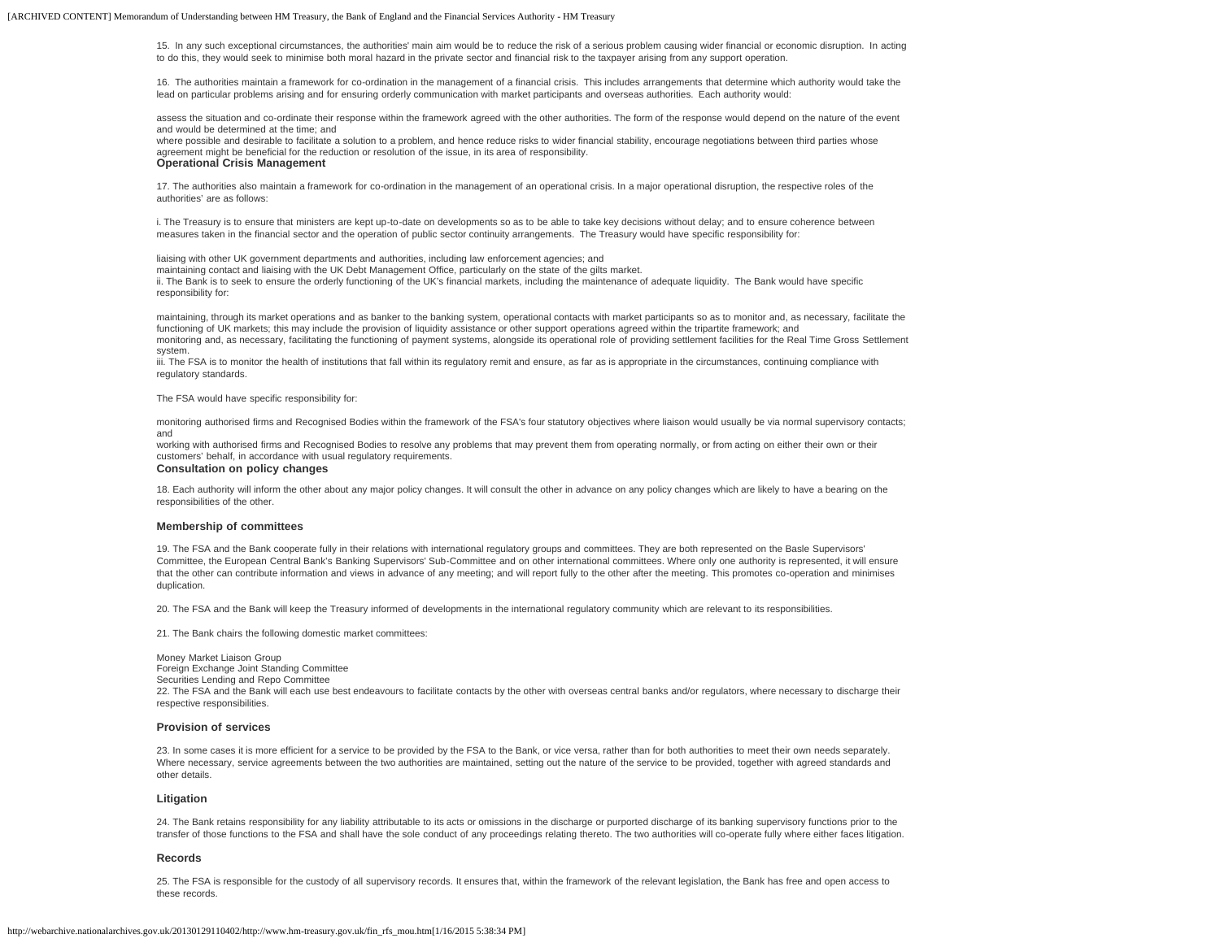15. In any such exceptional circumstances, the authorities' main aim would be to reduce the risk of a serious problem causing wider financial or economic disruption. In acting to do this, they would seek to minimise both moral hazard in the private sector and financial risk to the taxpayer arising from any support operation.

16. The authorities maintain a framework for co-ordination in the management of a financial crisis. This includes arrangements that determine which authority would take the lead on particular problems arising and for ensuring orderly communication with market participants and overseas authorities. Each authority would:

assess the situation and co-ordinate their response within the framework agreed with the other authorities. The form of the response would depend on the nature of the event and would be determined at the time; and

where possible and desirable to facilitate a solution to a problem, and hence reduce risks to wider financial stability, encourage negotiations between third parties whose agreement might be beneficial for the reduction or resolution of the issue, in its area of responsibility.

## **Operational Crisis Management**

17. The authorities also maintain a framework for co-ordination in the management of an operational crisis. In a major operational disruption, the respective roles of the authorities' are as follows:

i. The Treasury is to ensure that ministers are kept up-to-date on developments so as to be able to take key decisions without delay; and to ensure coherence between measures taken in the financial sector and the operation of public sector continuity arrangements. The Treasury would have specific responsibility for:

liaising with other UK government departments and authorities, including law enforcement agencies; and

maintaining contact and liaising with the UK Debt Management Office, particularly on the state of the gilts market.

ii. The Bank is to seek to ensure the orderly functioning of the UK's financial markets, including the maintenance of adequate liquidity. The Bank would have specific responsibility for:

maintaining, through its market operations and as banker to the banking system, operational contacts with market participants so as to monitor and, as necessary, facilitate the functioning of UK markets; this may include the provision of liquidity assistance or other support operations agreed within the tripartite framework; and monitoring and, as necessary, facilitating the functioning of payment systems, alongside its operational role of providing settlement facilities for the Real Time Gross Settlement system.

iii. The FSA is to monitor the health of institutions that fall within its regulatory remit and ensure, as far as is appropriate in the circumstances, continuing compliance with regulatory standards.

The FSA would have specific responsibility for:

monitoring authorised firms and Recognised Bodies within the framework of the FSA's four statutory objectives where liaison would usually be via normal supervisory contacts; and

working with authorised firms and Recognised Bodies to resolve any problems that may prevent them from operating normally, or from acting on either their own or their customers' behalf, in accordance with usual regulatory requirements.

### **Consultation on policy changes**

18. Each authority will inform the other about any major policy changes. It will consult the other in advance on any policy changes which are likely to have a bearing on the responsibilities of the other.

#### **Membership of committees**

19. The FSA and the Bank cooperate fully in their relations with international regulatory groups and committees. They are both represented on the Basle Supervisors' Committee, the European Central Bank's Banking Supervisors' Sub-Committee and on other international committees. Where only one authority is represented, it will ensure that the other can contribute information and views in advance of any meeting; and will report fully to the other after the meeting. This promotes co-operation and minimises duplication.

20. The FSA and the Bank will keep the Treasury informed of developments in the international regulatory community which are relevant to its responsibilities.

21. The Bank chairs the following domestic market committees:

Money Market Liaison Group Foreign Exchange Joint Standing Committee Securities Lending and Repo Committee 22. The FSA and the Bank will each use best endeavours to facilitate contacts by the other with overseas central banks and/or regulators, where necessary to discharge their respective responsibilities.

#### **Provision of services**

23. In some cases it is more efficient for a service to be provided by the FSA to the Bank, or vice versa, rather than for both authorities to meet their own needs separately. Where necessary, service agreements between the two authorities are maintained, setting out the nature of the service to be provided, together with agreed standards and other details.

#### **Litigation**

24. The Bank retains responsibility for any liability attributable to its acts or omissions in the discharge or purported discharge of its banking supervisory functions prior to the transfer of those functions to the FSA and shall have the sole conduct of any proceedings relating thereto. The two authorities will co-operate fully where either faces litigation.

#### **Records**

25. The FSA is responsible for the custody of all supervisory records. It ensures that, within the framework of the relevant legislation, the Bank has free and open access to these records.